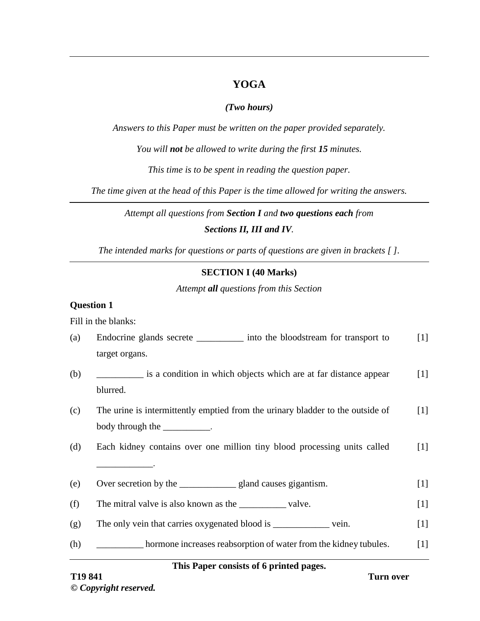# **YOGA**

### *(Two hours)*

*Answers to this Paper must be written on the paper provided separately.*

*You will not be allowed to write during the first 15 minutes.*

*This time is to be spent in reading the question paper.*

*The time given at the head of this Paper is the time allowed for writing the answers.*

*Attempt all questions from Section I and two questions each from Sections II, III and IV.*

*The intended marks for questions or parts of questions are given in brackets [ ].*

### **SECTION I (40 Marks)**

*Attempt all questions from this Section*

### **Question 1**

Fill in the blanks:

| (a) | Endocrine glands secrete ____________ into the bloodstream for transport to    | $[1]$ |
|-----|--------------------------------------------------------------------------------|-------|
|     | target organs.                                                                 |       |
| (b) | is a condition in which objects which are at far distance appear               | $[1]$ |
|     | blurred.                                                                       |       |
| (c) | The urine is intermittently emptied from the urinary bladder to the outside of | $[1]$ |
|     | body through the ___________.                                                  |       |
| (d) | Each kidney contains over one million tiny blood processing units called       | $[1]$ |
|     |                                                                                |       |
| (e) |                                                                                | $[1]$ |
| (f) | The mitral valve is also known as the ______________valve.                     | $[1]$ |
| (g) | The only vein that carries oxygenated blood is _________________ vein.         | $[1]$ |
| (h) | hormone increases reabsorption of water from the kidney tubules.               | $[1]$ |
|     |                                                                                |       |

### **This Paper consists of 6 printed pages.**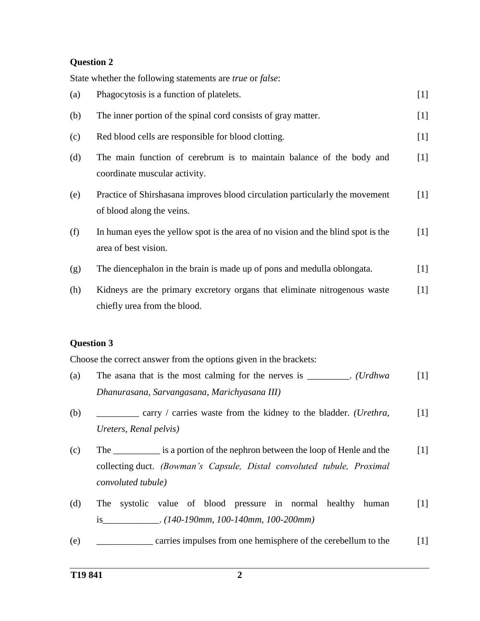### **Question 2**

State whether the following statements are *true* or *false*:

| (a) | Phagocytosis is a function of platelets.                                                                  | $[1]$ |
|-----|-----------------------------------------------------------------------------------------------------------|-------|
| (b) | The inner portion of the spinal cord consists of gray matter.                                             | $[1]$ |
| (c) | Red blood cells are responsible for blood clotting.                                                       | $[1]$ |
| (d) | The main function of cerebrum is to maintain balance of the body and<br>coordinate muscular activity.     | [1]   |
| (e) | Practice of Shirshasana improves blood circulation particularly the movement<br>of blood along the veins. | $[1]$ |
| (f) | In human eyes the yellow spot is the area of no vision and the blind spot is the<br>area of best vision.  | $[1]$ |
| (g) | The diencephalon in the brain is made up of pons and medulla oblongata.                                   | $[1]$ |
| (h) | Kidneys are the primary excretory organs that eliminate nitrogenous waste<br>chiefly urea from the blood. | $[1]$ |

### **Question 3**

Choose the correct answer from the options given in the brackets:

- (a) The asana that is the most calming for the nerves is \_\_\_\_\_\_\_\_\_. *(Urdhwa Dhanurasana, Sarvangasana, Marichyasana III)*  $[1]$
- (b) \_\_\_\_\_\_\_\_\_ carry / carries waste from the kidney to the bladder. *(Urethra, Ureters, Renal pelvis)*  $[1]$
- (c) The \_\_\_\_\_\_\_\_\_\_ is a portion of the nephron between the loop of Henle and the collecting duct. *(Bowman's Capsule, Distal convoluted tubule, Proximal convoluted tubule)*  $[1]$
- (d) The systolic value of blood pressure in normal healthy human is\_\_\_\_\_\_\_\_\_\_\_\_. *(140-190mm, 100-140mm, 100-200mm)* [1]
- (e) \_\_\_\_\_\_\_\_\_\_\_\_ carries impulses from one hemisphere of the cerebellum to the [1]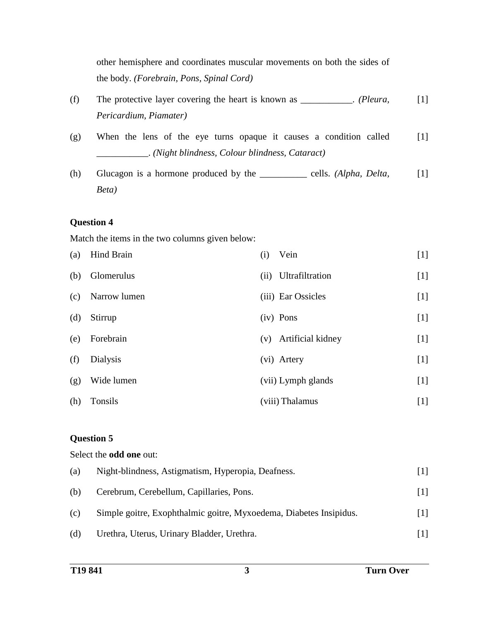other hemisphere and coordinates muscular movements on both the sides of the body. *(Forebrain, Pons, Spinal Cord)*

- (f) The protective layer covering the heart is known as \_\_\_\_\_\_\_\_\_\_\_. *(Pleura, Pericardium, Piamater)* [1]
- (g) When the lens of the eye turns opaque it causes a condition called \_\_\_\_\_\_\_\_\_\_\_. *(Night blindness, Colour blindness, Cataract)* [1]
- (h) Glucagon is a hormone produced by the \_\_\_\_\_\_\_\_\_\_ cells. *(Alpha, Delta, Beta)* [1]

### **Question 4**

Match the items in the two columns given below:

| (a) | Hind Brain   | (i)<br>Vein              | $[1]$ |
|-----|--------------|--------------------------|-------|
| (b) | Glomerulus   | Ultrafiltration<br>(ii)  | $[1]$ |
| (c) | Narrow lumen | (iii) Ear Ossicles       | $[1]$ |
| (d) | Stirrup      | (iv) Pons                | $[1]$ |
| (e) | Forebrain    | Artificial kidney<br>(v) | $[1]$ |
| (f) | Dialysis     | (vi) Artery              | $[1]$ |
| (g) | Wide lumen   | (vii) Lymph glands       | $[1]$ |
| (h) | Tonsils      | (viii) Thalamus          | $[1]$ |

# **Question 5**

Select the **odd one** out: (a) Night-blindness, Astigmatism, Hyperopia, Deafness. [1] (b) Cerebrum, Cerebellum, Capillaries, Pons. [1] (c) Simple goitre, Exophthalmic goitre, Myxoedema, Diabetes Insipidus. [1] (d) Urethra, Uterus, Urinary Bladder, Urethra. [1]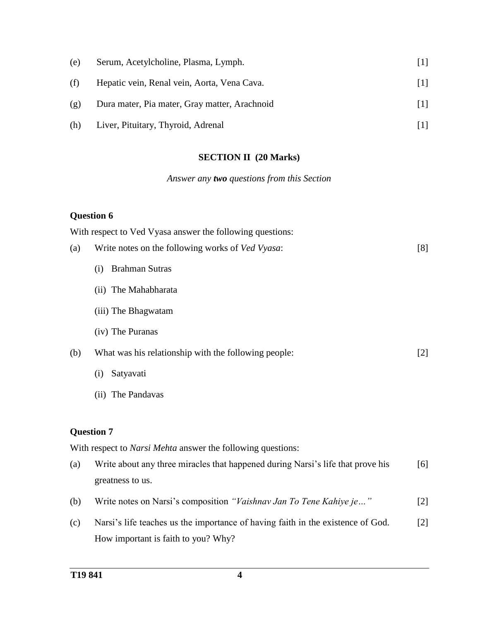| (e) | Serum, Acetylcholine, Plasma, Lymph.          |  |
|-----|-----------------------------------------------|--|
| (f) | Hepatic vein, Renal vein, Aorta, Vena Cava.   |  |
| (g) | Dura mater, Pia mater, Gray matter, Arachnoid |  |
| (h) | Liver, Pituitary, Thyroid, Adrenal            |  |

# **SECTION II (20 Marks)**

# *Answer any two questions from this Section*

# **Question 6**

|     | With respect to Ved Vyasa answer the following questions:                       |       |
|-----|---------------------------------------------------------------------------------|-------|
| (a) | Write notes on the following works of Ved Vyasa:                                | [8]   |
|     | <b>Brahman Sutras</b><br>(i)                                                    |       |
|     | (ii) The Mahabharata                                                            |       |
|     | (iii) The Bhagwatam                                                             |       |
|     | (iv) The Puranas                                                                |       |
| (b) | What was his relationship with the following people:                            | $[2]$ |
|     | Satyavati<br>(i)                                                                |       |
|     | (ii) The Pandavas                                                               |       |
|     | <b>Question 7</b>                                                               |       |
|     | With respect to <i>Narsi Mehta</i> answer the following questions:              |       |
| (a) | Write about any three miracles that happened during Narsi's life that prove his | [6]   |
|     | greatness to us.                                                                |       |
| (b) | Write notes on Narsi's composition "Vaishnav Jan To Tene Kahiye je"             | $[2]$ |
| (c) | Narsi's life teaches us the importance of having faith in the existence of God. | $[2]$ |
|     | How important is faith to you? Why?                                             |       |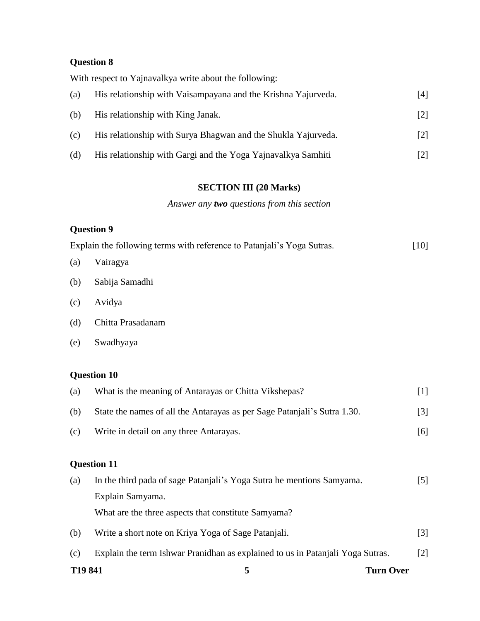# **Question 8**

With respect to Yajnavalkya write about the following:

| (a) | His relationship with Vaisampayana and the Krishna Yajurveda. | [4]               |
|-----|---------------------------------------------------------------|-------------------|
| (b) | His relationship with King Janak.                             | $\lceil 2 \rceil$ |
| (c) | His relationship with Surya Bhagwan and the Shukla Yajurveda. | $[2]$             |
| (d) | His relationship with Gargi and the Yoga Yajnavalkya Samhiti  | [2]               |

# **SECTION III (20 Marks)**

# *Answer any two questions from this section*

## **Question 9**

| Explain the following terms with reference to Patanjali's Yoga Sutras. | $[10]$ |
|------------------------------------------------------------------------|--------|
|------------------------------------------------------------------------|--------|

- (a) Vairagya
- (b) Sabija Samadhi
- (c) Avidya
- (d) Chitta Prasadanam
- (e) Swadhyaya

# **Question 10**

| T <sub>19</sub> 841 | 5                                                                              | <b>Turn Over</b>  |
|---------------------|--------------------------------------------------------------------------------|-------------------|
| (c)                 | Explain the term Ishwar Pranidhan as explained to us in Patanjali Yoga Sutras. | $[2]$             |
| (b)                 | Write a short note on Kriya Yoga of Sage Patanjali.                            | $\lceil 3 \rceil$ |
|                     | What are the three aspects that constitute Samyama?                            |                   |
|                     | Explain Samyama.                                                               |                   |
| (a)                 | In the third pada of sage Patanjali's Yoga Sutra he mentions Samyama.          | $\lceil 5 \rceil$ |
|                     | <b>Question 11</b>                                                             |                   |
|                     |                                                                                |                   |
| (c)                 | Write in detail on any three Antarayas.                                        | [6]               |
| (b)                 | State the names of all the Antarayas as per Sage Patanjali's Sutra 1.30.       | $[3]$             |
| (a)                 | What is the meaning of Antarayas or Chitta Vikshepas?                          | $[1]$             |